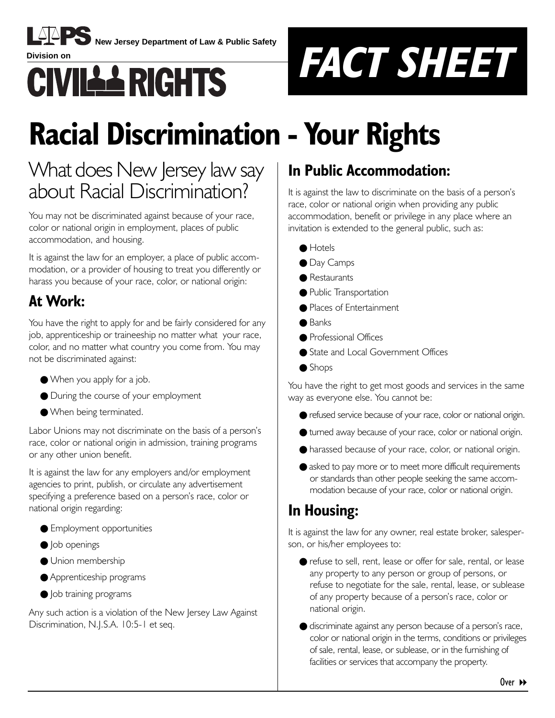

**New Jersey Department of Law & Public Safety** 



# **Racial Discrimination - Your Rights**

### What does New Jersey law say about Racial Discrimination?

You may not be discriminated against because of your race, color or national origin in employment, places of public accommodation, and housing.

It is against the law for an employer, a place of public accommodation, or a provider of housing to treat you differently or harass you because of your race, color, or national origin:

### **At Work:**

You have the right to apply for and be fairly considered for any job, apprenticeship or traineeship no matter what your race, color, and no matter what country you come from. You may not be discriminated against:

- When you apply for a job.
- During the course of your employment
- When being terminated.

Labor Unions may not discriminate on the basis of a person's race, color or national origin in admission, training programs or any other union benefit.

It is against the law for any employers and/or employment agencies to print, publish, or circulate any advertisement specifying a preference based on a person's race, color or national origin regarding:

- Employment opportunities
- **Job openings**
- Union membership
- Apprenticeship programs
- Job training programs

Any such action is a violation of the New Jersey Law Against Discrimination, N.J.S.A. 10:5-1 et seq.

### **In Public Accommodation:**

It is against the law to discriminate on the basis of a person's race, color or national origin when providing any public accommodation, benefit or privilege in any place where an invitation is extended to the general public, such as:

- Hotels
- Day Camps
- Restaurants
- Public Transportation
- Places of Entertainment
- Banks
- Professional Offices
- State and Local Government Offices
- Shops

You have the right to get most goods and services in the same way as everyone else. You cannot be:

- refused service because of your race, color or national origin.
- turned away because of your race, color or national origin.
- harassed because of your race, color, or national origin.
- asked to pay more or to meet more difficult requirements or standards than other people seeking the same accommodation because of your race, color or national origin.

### **In Housing:**

It is against the law for any owner, real estate broker, salesperson, or his/her employees to:

- refuse to sell, rent, lease or offer for sale, rental, or lease any property to any person or group of persons, or refuse to negotiate for the sale, rental, lease, or sublease of any property because of a personís race, color or national origin.
- discriminate against any person because of a person's race, color or national origin in the terms, conditions or privileges of sale, rental, lease, or sublease, or in the furnishing of facilities or services that accompany the property.